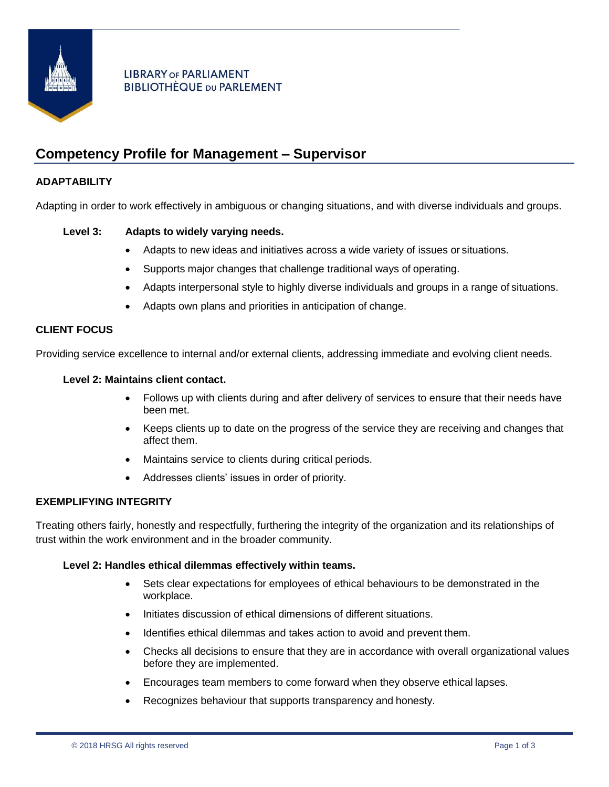

# **LIBRARY OF PARLIAMENT BIBLIOTHÈQUE DU PARLEMENT**

# **Competency Profile for Management – Supervisor**

# **ADAPTABILITY**

Adapting in order to work effectively in ambiguous or changing situations, and with diverse individuals and groups.

# **Level 3: Adapts to widely varying needs.**

- Adapts to new ideas and initiatives across a wide variety of issues or situations.
- Supports major changes that challenge traditional ways of operating.
- Adapts interpersonal style to highly diverse individuals and groups in a range of situations.
- Adapts own plans and priorities in anticipation of change.

# **CLIENT FOCUS**

Providing service excellence to internal and/or external clients, addressing immediate and evolving client needs.

# **Level 2: Maintains client contact.**

- Follows up with clients during and after delivery of services to ensure that their needs have been met.
- Keeps clients up to date on the progress of the service they are receiving and changes that affect them.
- Maintains service to clients during critical periods.
- Addresses clients' issues in order of priority.

## **EXEMPLIFYING INTEGRITY**

Treating others fairly, honestly and respectfully, furthering the integrity of the organization and its relationships of trust within the work environment and in the broader community.

# **Level 2: Handles ethical dilemmas effectively within teams.**

- Sets clear expectations for employees of ethical behaviours to be demonstrated in the workplace.
- Initiates discussion of ethical dimensions of different situations.
- Identifies ethical dilemmas and takes action to avoid and prevent them.
- Checks all decisions to ensure that they are in accordance with overall organizational values before they are implemented.
- Encourages team members to come forward when they observe ethical lapses.
- Recognizes behaviour that supports transparency and honesty.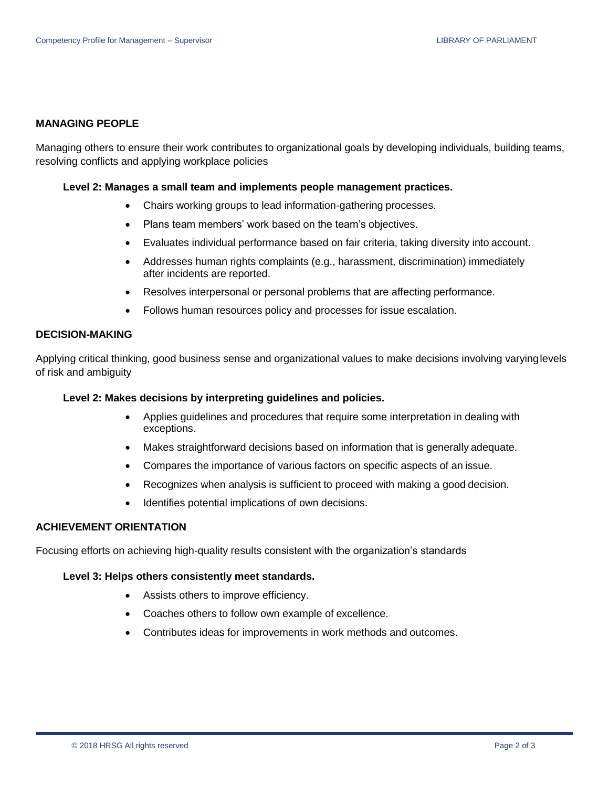### **MANAGING PEOPLE**

Managing others to ensure their work contributes to organizational goals by developing individuals, building teams, resolving conflicts and applying workplace policies

#### **Level 2: Manages a small team and implements people management practices.**

- Chairs working groups to lead information-gathering processes.
- Plans team members' work based on the team's objectives.
- Evaluates individual performance based on fair criteria, taking diversity into account.
- Addresses human rights complaints (e.g., harassment, discrimination) immediately after incidents are reported.
- Resolves interpersonal or personal problems that are affecting performance.
- Follows human resources policy and processes for issue escalation.

## **DECISION-MAKING**

Applying critical thinking, good business sense and organizational values to make decisions involving varyinglevels of risk and ambiguity

#### **Level 2: Makes decisions by interpreting guidelines and policies.**

- Applies guidelines and procedures that require some interpretation in dealing with exceptions.
- Makes straightforward decisions based on information that is generally adequate.
- Compares the importance of various factors on specific aspects of an issue.
- Recognizes when analysis is sufficient to proceed with making a good decision.
- Identifies potential implications of own decisions.

## **ACHIEVEMENT ORIENTATION**

Focusing efforts on achieving high-quality results consistent with the organization's standards

#### **Level 3: Helps others consistently meet standards.**

- Assists others to improve efficiency.
- Coaches others to follow own example of excellence.
- Contributes ideas for improvements in work methods and outcomes.